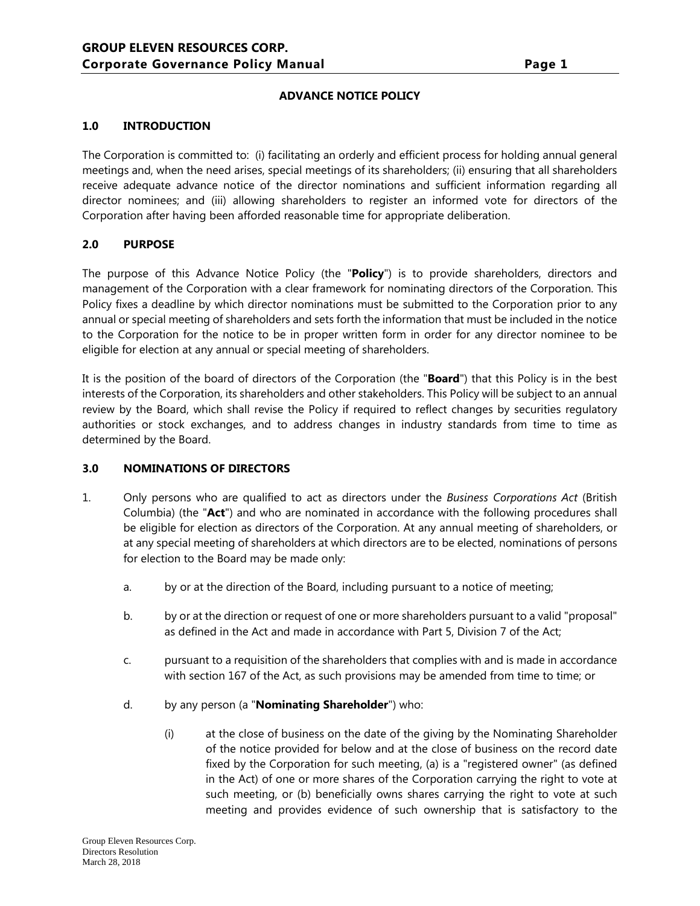# **ADVANCE NOTICE POLICY**

# **1.0 INTRODUCTION**

The Corporation is committed to: (i) facilitating an orderly and efficient process for holding annual general meetings and, when the need arises, special meetings of its shareholders; (ii) ensuring that all shareholders receive adequate advance notice of the director nominations and sufficient information regarding all director nominees; and (iii) allowing shareholders to register an informed vote for directors of the Corporation after having been afforded reasonable time for appropriate deliberation.

# **2.0 PURPOSE**

The purpose of this Advance Notice Policy (the "**Policy**") is to provide shareholders, directors and management of the Corporation with a clear framework for nominating directors of the Corporation. This Policy fixes a deadline by which director nominations must be submitted to the Corporation prior to any annual or special meeting of shareholders and sets forth the information that must be included in the notice to the Corporation for the notice to be in proper written form in order for any director nominee to be eligible for election at any annual or special meeting of shareholders.

It is the position of the board of directors of the Corporation (the "**Board**") that this Policy is in the best interests of the Corporation, its shareholders and other stakeholders. This Policy will be subject to an annual review by the Board, which shall revise the Policy if required to reflect changes by securities regulatory authorities or stock exchanges, and to address changes in industry standards from time to time as determined by the Board.

# **3.0 NOMINATIONS OF DIRECTORS**

- 1. Only persons who are qualified to act as directors under the *Business Corporations Act* (British Columbia) (the "**Act**") and who are nominated in accordance with the following procedures shall be eligible for election as directors of the Corporation. At any annual meeting of shareholders, or at any special meeting of shareholders at which directors are to be elected, nominations of persons for election to the Board may be made only:
	- a. by or at the direction of the Board, including pursuant to a notice of meeting;
	- b. by or at the direction or request of one or more shareholders pursuant to a valid "proposal" as defined in the Act and made in accordance with Part 5, Division 7 of the Act;
	- c. pursuant to a requisition of the shareholders that complies with and is made in accordance with section 167 of the Act, as such provisions may be amended from time to time; or
	- d. by any person (a "**Nominating Shareholder**") who:
		- (i) at the close of business on the date of the giving by the Nominating Shareholder of the notice provided for below and at the close of business on the record date fixed by the Corporation for such meeting, (a) is a "registered owner" (as defined in the Act) of one or more shares of the Corporation carrying the right to vote at such meeting, or (b) beneficially owns shares carrying the right to vote at such meeting and provides evidence of such ownership that is satisfactory to the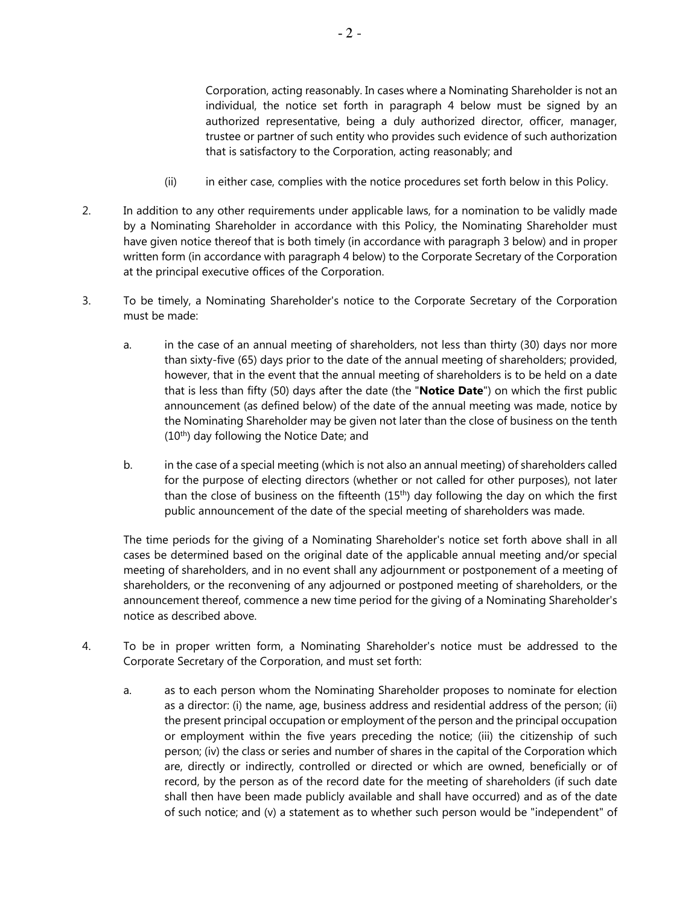Corporation, acting reasonably. In cases where a Nominating Shareholder is not an individual, the notice set forth in paragraph 4 below must be signed by an authorized representative, being a duly authorized director, officer, manager, trustee or partner of such entity who provides such evidence of such authorization that is satisfactory to the Corporation, acting reasonably; and

- (ii) in either case, complies with the notice procedures set forth below in this Policy.
- 2. In addition to any other requirements under applicable laws, for a nomination to be validly made by a Nominating Shareholder in accordance with this Policy, the Nominating Shareholder must have given notice thereof that is both timely (in accordance with paragraph 3 below) and in proper written form (in accordance with paragraph 4 below) to the Corporate Secretary of the Corporation at the principal executive offices of the Corporation.
- 3. To be timely, a Nominating Shareholder's notice to the Corporate Secretary of the Corporation must be made:
	- a. in the case of an annual meeting of shareholders, not less than thirty (30) days nor more than sixty-five (65) days prior to the date of the annual meeting of shareholders; provided, however, that in the event that the annual meeting of shareholders is to be held on a date that is less than fifty (50) days after the date (the "**Notice Date**") on which the first public announcement (as defined below) of the date of the annual meeting was made, notice by the Nominating Shareholder may be given not later than the close of business on the tenth (10<sup>th</sup>) day following the Notice Date; and
	- b. in the case of a special meeting (which is not also an annual meeting) of shareholders called for the purpose of electing directors (whether or not called for other purposes), not later than the close of business on the fifteenth (15th) day following the day on which the first public announcement of the date of the special meeting of shareholders was made.

The time periods for the giving of a Nominating Shareholder's notice set forth above shall in all cases be determined based on the original date of the applicable annual meeting and/or special meeting of shareholders, and in no event shall any adjournment or postponement of a meeting of shareholders, or the reconvening of any adjourned or postponed meeting of shareholders, or the announcement thereof, commence a new time period for the giving of a Nominating Shareholder's notice as described above.

- 4. To be in proper written form, a Nominating Shareholder's notice must be addressed to the Corporate Secretary of the Corporation, and must set forth:
	- a. as to each person whom the Nominating Shareholder proposes to nominate for election as a director: (i) the name, age, business address and residential address of the person; (ii) the present principal occupation or employment of the person and the principal occupation or employment within the five years preceding the notice; (iii) the citizenship of such person; (iv) the class or series and number of shares in the capital of the Corporation which are, directly or indirectly, controlled or directed or which are owned, beneficially or of record, by the person as of the record date for the meeting of shareholders (if such date shall then have been made publicly available and shall have occurred) and as of the date of such notice; and (v) a statement as to whether such person would be "independent" of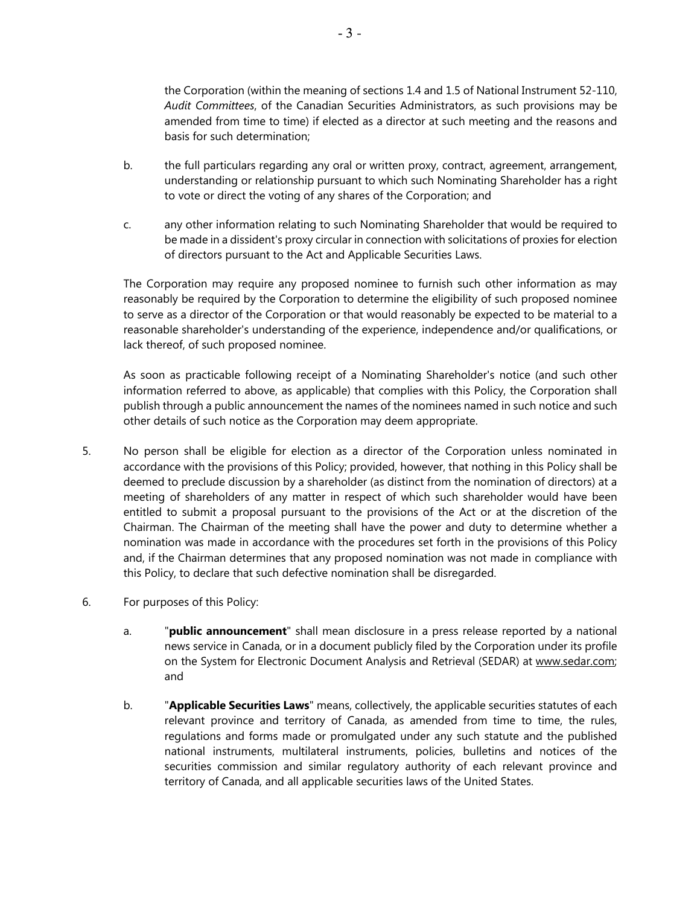the Corporation (within the meaning of sections 1.4 and 1.5 of National Instrument 52-110, *Audit Committees*, of the Canadian Securities Administrators, as such provisions may be amended from time to time) if elected as a director at such meeting and the reasons and basis for such determination;

- b. the full particulars regarding any oral or written proxy, contract, agreement, arrangement, understanding or relationship pursuant to which such Nominating Shareholder has a right to vote or direct the voting of any shares of the Corporation; and
- c. any other information relating to such Nominating Shareholder that would be required to be made in a dissident's proxy circular in connection with solicitations of proxies for election of directors pursuant to the Act and Applicable Securities Laws.

The Corporation may require any proposed nominee to furnish such other information as may reasonably be required by the Corporation to determine the eligibility of such proposed nominee to serve as a director of the Corporation or that would reasonably be expected to be material to a reasonable shareholder's understanding of the experience, independence and/or qualifications, or lack thereof, of such proposed nominee.

As soon as practicable following receipt of a Nominating Shareholder's notice (and such other information referred to above, as applicable) that complies with this Policy, the Corporation shall publish through a public announcement the names of the nominees named in such notice and such other details of such notice as the Corporation may deem appropriate.

- 5. No person shall be eligible for election as a director of the Corporation unless nominated in accordance with the provisions of this Policy; provided, however, that nothing in this Policy shall be deemed to preclude discussion by a shareholder (as distinct from the nomination of directors) at a meeting of shareholders of any matter in respect of which such shareholder would have been entitled to submit a proposal pursuant to the provisions of the Act or at the discretion of the Chairman. The Chairman of the meeting shall have the power and duty to determine whether a nomination was made in accordance with the procedures set forth in the provisions of this Policy and, if the Chairman determines that any proposed nomination was not made in compliance with this Policy, to declare that such defective nomination shall be disregarded.
- 6. For purposes of this Policy:
	- a. "**public announcement**" shall mean disclosure in a press release reported by a national news service in Canada, or in a document publicly filed by the Corporation under its profile on the System for Electronic Document Analysis and Retrieval (SEDAR) at www.sedar.com; and
	- b. "**Applicable Securities Laws**" means, collectively, the applicable securities statutes of each relevant province and territory of Canada, as amended from time to time, the rules, regulations and forms made or promulgated under any such statute and the published national instruments, multilateral instruments, policies, bulletins and notices of the securities commission and similar regulatory authority of each relevant province and territory of Canada, and all applicable securities laws of the United States.